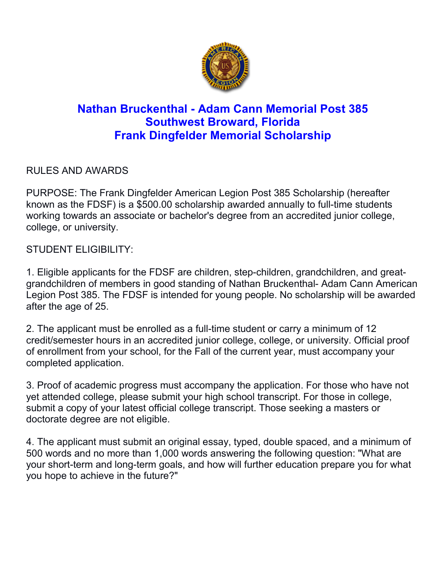

## **Nathan Bruckenthal - Adam Cann Memorial Post 385 Southwest Broward, Florida Frank Dingfelder Memorial Scholarship**

RULES AND AWARDS

PURPOSE: The Frank Dingfelder American Legion Post 385 Scholarship (hereafter known as the FDSF) is a \$500.00 scholarship awarded annually to full-time students working towards an associate or bachelor's degree from an accredited junior college, college, or university.

STUDENT ELIGIBILITY:

1. Eligible applicants for the FDSF are children, step-children, grandchildren, and greatgrandchildren of members in good standing of Nathan Bruckenthal- Adam Cann American Legion Post 385. The FDSF is intended for young people. No scholarship will be awarded after the age of 25.

2. The applicant must be enrolled as a full-time student or carry a minimum of 12 credit/semester hours in an accredited junior college, college, or university. Official proof of enrollment from your school, for the Fall of the current year, must accompany your completed application.

3. Proof of academic progress must accompany the application. For those who have not yet attended college, please submit your high school transcript. For those in college, submit a copy of your latest official college transcript. Those seeking a masters or doctorate degree are not eligible.

4. The applicant must submit an original essay, typed, double spaced, and a minimum of 500 words and no more than 1,000 words answering the following question: "What are your short-term and long-term goals, and how will further education prepare you for what you hope to achieve in the future?"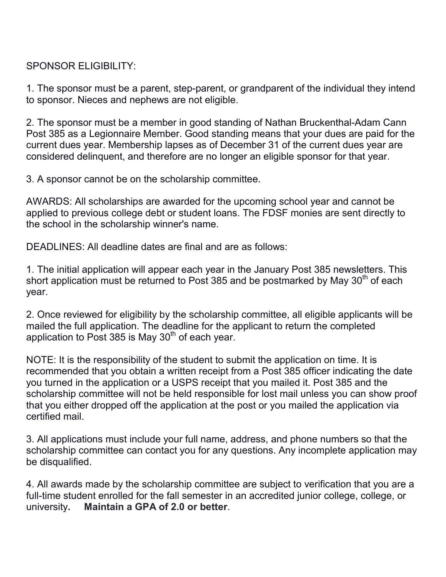## SPONSOR ELIGIBILITY:

1. The sponsor must be a parent, step-parent, or grandparent of the individual they intend to sponsor. Nieces and nephews are not eligible.

2. The sponsor must be a member in good standing of Nathan Bruckenthal-Adam Cann Post 385 as a Legionnaire Member. Good standing means that your dues are paid for the current dues year. Membership lapses as of December 31 of the current dues year are considered delinquent, and therefore are no longer an eligible sponsor for that year.

3. A sponsor cannot be on the scholarship committee.

AWARDS: All scholarships are awarded for the upcoming school year and cannot be applied to previous college debt or student loans. The FDSF monies are sent directly to the school in the scholarship winner's name.

DEADLINES: All deadline dates are final and are as follows:

1. The initial application will appear each year in the January Post 385 newsletters. This short application must be returned to Post 385 and be postmarked by May 30<sup>th</sup> of each year.

2. Once reviewed for eligibility by the scholarship committee, all eligible applicants will be mailed the full application. The deadline for the applicant to return the completed application to Post 385 is May  $30<sup>th</sup>$  of each year.

NOTE: It is the responsibility of the student to submit the application on time. It is recommended that you obtain a written receipt from a Post 385 officer indicating the date you turned in the application or a USPS receipt that you mailed it. Post 385 and the scholarship committee will not be held responsible for lost mail unless you can show proof that you either dropped off the application at the post or you mailed the application via certified mail.

3. All applications must include your full name, address, and phone numbers so that the scholarship committee can contact you for any questions. Any incomplete application may be disqualified.

4. All awards made by the scholarship committee are subject to verification that you are a full-time student enrolled for the fall semester in an accredited junior college, college, or university**. Maintain a GPA of 2.0 or better**.